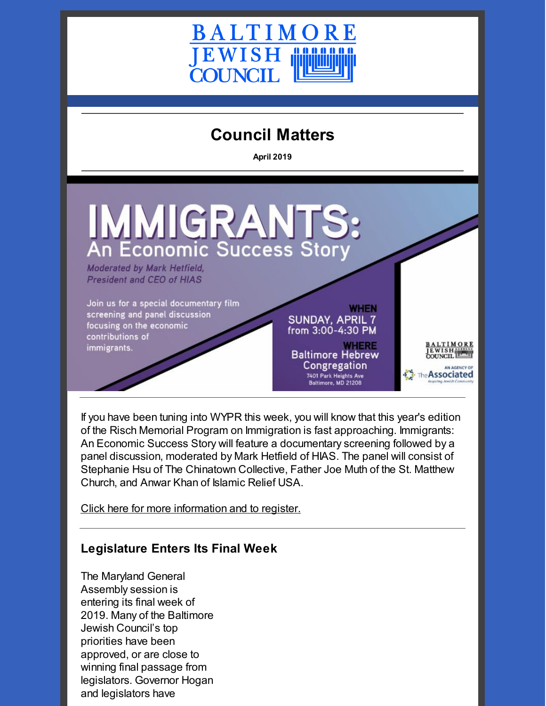

# **Council Matters**

**April 2019**



If you have been tuning into WYPR this week, you will know that this year's edition of the Risch Memorial Program on Immigration is fast approaching. Immigrants: An Economic Success Story will feature a documentary screening followed by a panel discussion, moderated by Mark Hetfield of HIAS. The panel will consist of Stephanie Hsu of The Chinatown Collective, Father Joe Muth of the St. Matthew Church, and Anwar Khan of Islamic Relief USA.

Click here for more [information](https://www.picatic.com/Risch) and to register.

# **Legislature Enters Its Final Week**

The Maryland General Assembly session is entering its final week of 2019. Many of the Baltimore Jewish Council's top priorities have been approved, or are close to winning final passage from legislators. Governor Hogan and legislators have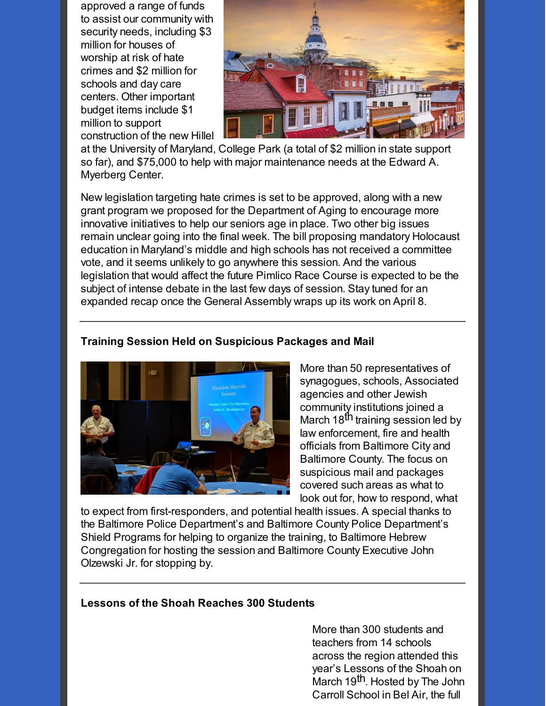approved a range of funds to assist our community with security needs, including \$3 million for houses of worship at risk of hate crimes and \$2 million for schools and day care centers. Other important budget items include \$1 million to support construction of the new Hillel



at the University of Maryland, College Park (a total of \$2 million in state support so far), and \$75,000 to help with major maintenance needs at the Edward A. Myerberg Center.

New legislation targeting hate crimes is set to be approved, along with a new grant program we proposed for the Department of Aging to encourage more innovative initiatives to help our seniors age in place. Two other big issues remain unclear going into the final week. The bill proposing mandatory Holocaust education in Maryland's middle and high schools has not received a committee vote, and it seems unlikely to go anywhere this session. And the various legislation that would affect the future Pimlico Race Course is expected to be the subject of intense debate in the last few days of session. Stay tuned for an expanded recap once the General Assembly wraps up its work on April 8.

## **Training Session Held on Suspicious Packages and Mail**



More than 50 representatives of synagogues, schools, Associated agencies and other Jewish community institutions joined a March 18<sup>th</sup> training session led by law enforcement, fire and health officials from Baltimore City and Baltimore County. The focus on suspicious mail and packages covered such areas as what to look out for, how to respond, what

to expect from first-responders, and potential health issues. A special thanks to the Baltimore Police Department's and Baltimore County Police Department's Shield Programs for helping to organize the training, to Baltimore Hebrew Congregation for hosting the session and Baltimore County Executive John Olzewski Jr. for stopping by.

#### **Lessons of the Shoah Reaches 300 Students**

More than 300 students and teachers from 14 schools across the region attended this year's Lessons of the Shoah on *,*<br>March 19<sup>th</sup>. Hosted by The John Carroll School in Bel Air, the full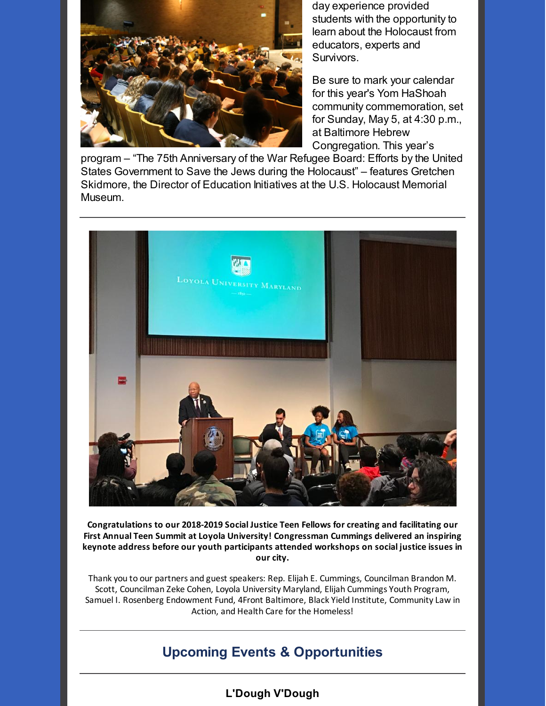

day experience provided students with the opportunity to learn about the Holocaust from educators, experts and Survivors.

Be sure to mark your calendar for this year's Yom HaShoah community commemoration, set for Sunday, May 5, at 4:30 p.m., at Baltimore Hebrew Congregation. This year's

program – "The 75th Anniversary of the War Refugee Board: Efforts by the United States Government to Save the Jews during the Holocaust" – features Gretchen Skidmore, the Director of Education Initiatives at the U.S. Holocaust Memorial Museum.



**Congratulations to our 2018-2019 Social Justice Teen Fellows for creating and facilitating our First Annual Teen Summit at Loyola University! Congressman Cummings delivered an inspiring keynote address before our youth participants attended workshops on social justice issues in our city.**

Thank you to our partners and guest speakers: Rep. Elijah E. Cummings, Councilman Brandon M. Scott, Councilman Zeke Cohen, Loyola University Maryland, Elijah Cummings Youth Program, Samuel I. Rosenberg Endowment Fund, 4Front Baltimore, Black Yield Institute, Community Law in Action, and Health Care for the Homeless!

# **Upcoming Events & Opportunities**

# **L'Dough V'Dough**